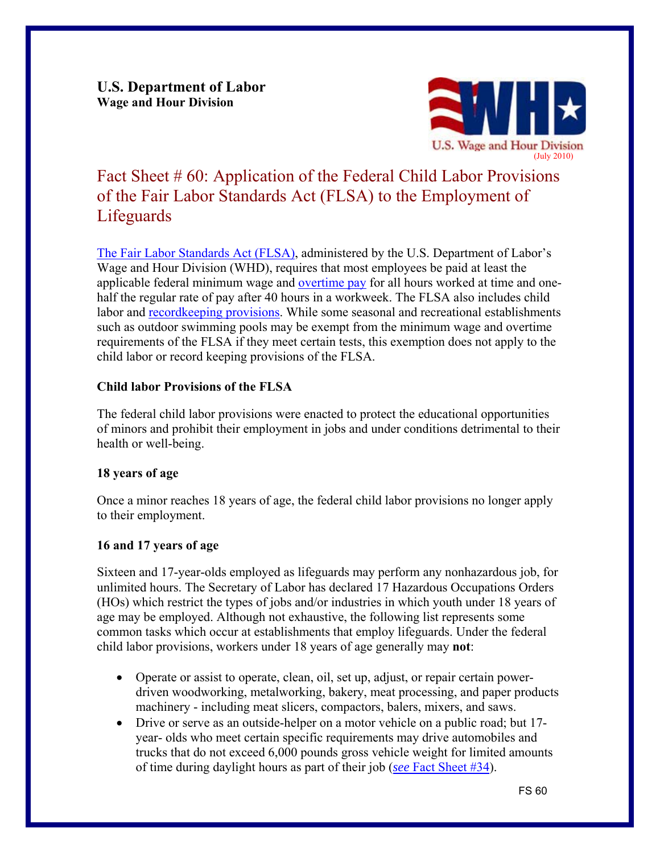**U.S. Department of Labor Wage and Hour Division** 



# Fact Sheet # 60: Application of the Federal Child Labor Provisions of the Fair Labor Standards Act (FLSA) to the Employment of **Lifeguards**

[The Fair Labor Standards Act \(FLSA\),](http://www.dol.gov/whd/flsa/index.htm) administered by the U.S. Department of Labor's Wage and Hour Division (WHD), requires that most employees be paid at least the applicable federal minimum wage and [overtime pay](http://www.dol.gov/whd/overtime_pay.htm) for all hours worked at time and onehalf the regular rate of pay after 40 hours in a workweek. The FLSA also includes child labor and [recordkeeping provisions.](http://www.dol.gov/whd/regs/compliance/whdfs21.pdf) While some seasonal and recreational establishments such as outdoor swimming pools may be exempt from the minimum wage and overtime requirements of the FLSA if they meet certain tests, this exemption does not apply to the child labor or record keeping provisions of the FLSA.

# **Child labor Provisions of the FLSA**

The federal child labor provisions were enacted to protect the educational opportunities of minors and prohibit their employment in jobs and under conditions detrimental to their health or well-being.

# **18 years of age**

Once a minor reaches 18 years of age, the federal child labor provisions no longer apply to their employment.

# **16 and 17 years of age**

Sixteen and 17-year-olds employed as lifeguards may perform any nonhazardous job, for unlimited hours. The Secretary of Labor has declared 17 Hazardous Occupations Orders (HOs) which restrict the types of jobs and/or industries in which youth under 18 years of age may be employed. Although not exhaustive, the following list represents some common tasks which occur at establishments that employ lifeguards. Under the federal child labor provisions, workers under 18 years of age generally may **not**:

- Operate or assist to operate, clean, oil, set up, adjust, or repair certain powerdriven woodworking, metalworking, bakery, meat processing, and paper products machinery - including meat slicers, compactors, balers, mixers, and saws.
- Drive or serve as an outside-helper on a motor vehicle on a public road; but 17 year- olds who meet certain specific requirements may drive automobiles and trucks that do not exceed 6,000 pounds gross vehicle weight for limited amounts of time during daylight hours as part of their job (*see* [Fact Sheet #34](http://www.dol.gov/whd/regs/compliance/whdfs34.pdf)).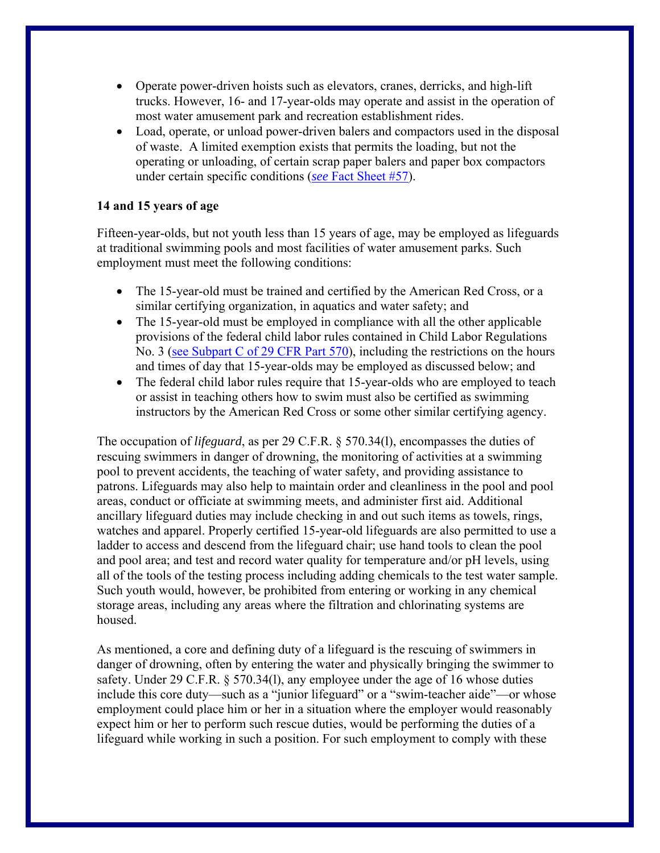- Operate power-driven hoists such as elevators, cranes, derricks, and high-lift trucks. However, 16- and 17-year-olds may operate and assist in the operation of most water amusement park and recreation establishment rides.
- Load, operate, or unload power-driven balers and compactors used in the disposal of waste. A limited exemption exists that permits the loading, but not the operating or unloading, of certain scrap paper balers and paper box compactors under certain specific conditions (*see* [Fact Sheet #57\)](http://www.dol.gov/whd/regs/compliance/whdfs57.pdf).

## **14 and 15 years of age**

Fifteen-year-olds, but not youth less than 15 years of age, may be employed as lifeguards at traditional swimming pools and most facilities of water amusement parks. Such employment must meet the following conditions:

- The 15-year-old must be trained and certified by the American Red Cross, or a similar certifying organization, in aquatics and water safety; and
- The 15-year-old must be employed in compliance with all the other applicable provisions of the federal child labor rules contained in Child Labor Regulations No. 3 [\(see Subpart C of 29 CFR Part 570\),](http://www.dol.gov/cgi-bin/leave-dol.asp?exiturl=http://s.dol.gov/87&exitTitle=www.gpoaccess.gov&fedpage=yes) including the restrictions on the hours and times of day that 15-year-olds may be employed as discussed below; and
- The federal child labor rules require that 15-year-olds who are employed to teach or assist in teaching others how to swim must also be certified as swimming instructors by the American Red Cross or some other similar certifying agency.

The occupation of *lifeguard*, as per 29 C.F.R. § 570.34(l), encompasses the duties of rescuing swimmers in danger of drowning, the monitoring of activities at a swimming pool to prevent accidents, the teaching of water safety, and providing assistance to patrons. Lifeguards may also help to maintain order and cleanliness in the pool and pool areas, conduct or officiate at swimming meets, and administer first aid. Additional ancillary lifeguard duties may include checking in and out such items as towels, rings, watches and apparel. Properly certified 15-year-old lifeguards are also permitted to use a ladder to access and descend from the lifeguard chair; use hand tools to clean the pool and pool area; and test and record water quality for temperature and/or pH levels, using all of the tools of the testing process including adding chemicals to the test water sample. Such youth would, however, be prohibited from entering or working in any chemical storage areas, including any areas where the filtration and chlorinating systems are housed.

As mentioned, a core and defining duty of a lifeguard is the rescuing of swimmers in danger of drowning, often by entering the water and physically bringing the swimmer to safety. Under 29 C.F.R. § 570.34(1), any employee under the age of 16 whose duties include this core duty—such as a "junior lifeguard" or a "swim-teacher aide"—or whose employment could place him or her in a situation where the employer would reasonably expect him or her to perform such rescue duties, would be performing the duties of a lifeguard while working in such a position. For such employment to comply with these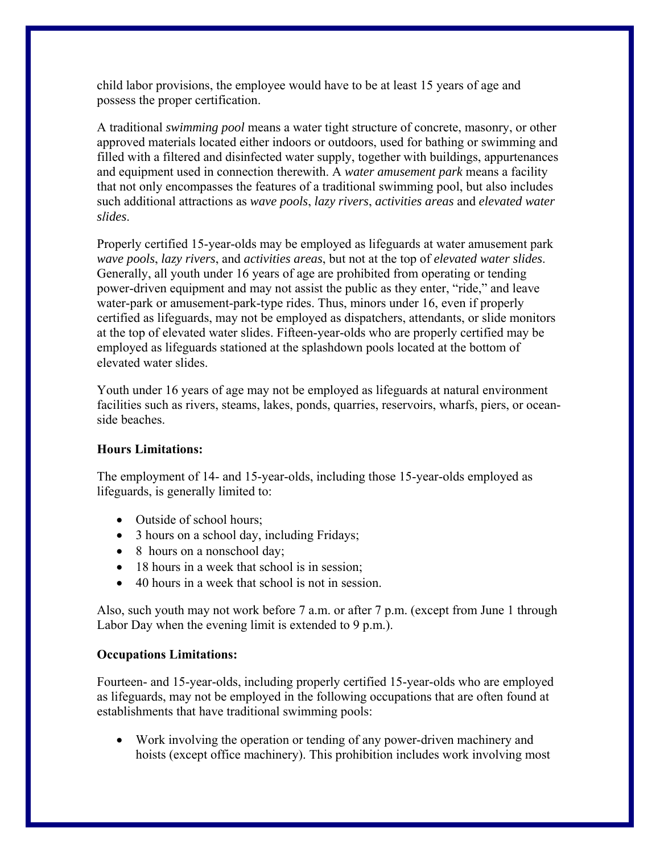child labor provisions, the employee would have to be at least 15 years of age and possess the proper certification.

A traditional *swimming pool* means a water tight structure of concrete, masonry, or other approved materials located either indoors or outdoors, used for bathing or swimming and filled with a filtered and disinfected water supply, together with buildings, appurtenances and equipment used in connection therewith. A *water amusement park* means a facility that not only encompasses the features of a traditional swimming pool, but also includes such additional attractions as *wave pools*, *lazy rivers*, *activities areas* and *elevated water slides*.

Properly certified 15-year-olds may be employed as lifeguards at water amusement park *wave pools*, *lazy rivers*, and *activities areas*, but not at the top of *elevated water slides*. Generally, all youth under 16 years of age are prohibited from operating or tending power-driven equipment and may not assist the public as they enter, "ride," and leave water-park or amusement-park-type rides. Thus, minors under 16, even if properly certified as lifeguards, may not be employed as dispatchers, attendants, or slide monitors at the top of elevated water slides. Fifteen-year-olds who are properly certified may be employed as lifeguards stationed at the splashdown pools located at the bottom of elevated water slides.

Youth under 16 years of age may not be employed as lifeguards at natural environment facilities such as rivers, steams, lakes, ponds, quarries, reservoirs, wharfs, piers, or oceanside beaches.

## **Hours Limitations:**

The employment of 14- and 15-year-olds, including those 15-year-olds employed as lifeguards, is generally limited to:

- Outside of school hours;
- 3 hours on a school day, including Fridays;
- 8 hours on a nonschool day;
- 18 hours in a week that school is in session;
- 40 hours in a week that school is not in session.

Also, such youth may not work before 7 a.m. or after 7 p.m. (except from June 1 through Labor Day when the evening limit is extended to 9 p.m.).

## **Occupations Limitations:**

Fourteen- and 15-year-olds, including properly certified 15-year-olds who are employed as lifeguards, may not be employed in the following occupations that are often found at establishments that have traditional swimming pools:

 Work involving the operation or tending of any power-driven machinery and hoists (except office machinery). This prohibition includes work involving most